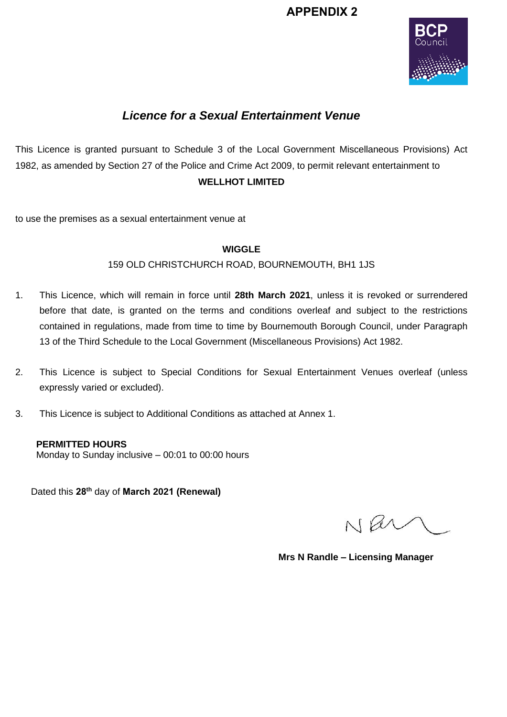# **APPENDIX 2**



# *Licence for a Sexual Entertainment Venue*

This Licence is granted pursuant to Schedule 3 of the Local Government Miscellaneous Provisions) Act 1982, as amended by Section 27 of the Police and Crime Act 2009, to permit relevant entertainment to **WELLHOT LIMITED**

to use the premises as a sexual entertainment venue at

### **WIGGLE**

### 159 OLD CHRISTCHURCH ROAD, BOURNEMOUTH, BH1 1JS

- 1. This Licence, which will remain in force until **28th March 2021**, unless it is revoked or surrendered before that date, is granted on the terms and conditions overleaf and subject to the restrictions contained in regulations, made from time to time by Bournemouth Borough Council, under Paragraph 13 of the Third Schedule to the Local Government (Miscellaneous Provisions) Act 1982.
- 2. This Licence is subject to Special Conditions for Sexual Entertainment Venues overleaf (unless expressly varied or excluded).
- 3. This Licence is subject to Additional Conditions as attached at Annex 1.

**PERMITTED HOURS** Monday to Sunday inclusive – 00:01 to 00:00 hours

Dated this **28th** day of **March 2021 (Renewal)** 

Nav

**Mrs N Randle – Licensing Manager**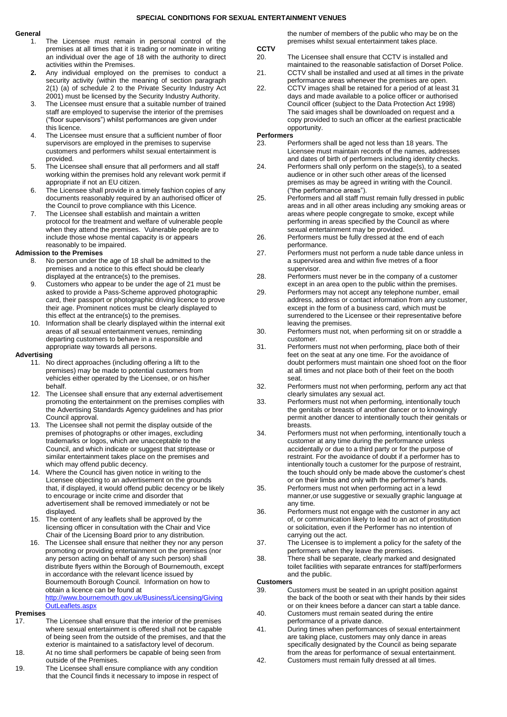#### **General**

- 1. The Licensee must remain in personal control of the premises at all times that it is trading or nominate in writing an individual over the age of 18 with the authority to direct activities within the Premises.
- **2.** Any individual employed on the premises to conduct a security activity (within the meaning of section paragraph 2(1) (a) of schedule 2 to the Private Security Industry Act 2001) must be licensed by the Security Industry Authority.
- 3. The Licensee must ensure that a suitable number of trained staff are employed to supervise the interior of the premises ("floor supervisors") whilst performances are given under this licence.
- 4. The Licensee must ensure that a sufficient number of floor supervisors are employed in the premises to supervise customers and performers whilst sexual entertainment is provided.
- 5. The Licensee shall ensure that all performers and all staff working within the premises hold any relevant work permit if appropriate if not an EU citizen.
- 6. The Licensee shall provide in a timely fashion copies of any documents reasonably required by an authorised officer of the Council to prove compliance with this Licence.
- 7. The Licensee shall establish and maintain a written protocol for the treatment and welfare of vulnerable people when they attend the premises. Vulnerable people are to include those whose mental capacity is or appears reasonably to be impaired.

#### **Admission to the Premises**

- 8. No person under the age of 18 shall be admitted to the premises and a notice to this effect should be clearly displayed at the entrance(s) to the premises.
- 9. Customers who appear to be under the age of 21 must be asked to provide a Pass-Scheme approved photographic card, their passport or photographic driving licence to prove their age. Prominent notices must be clearly displayed to this effect at the entrance(s) to the premises.
- 10. Information shall be clearly displayed within the internal exit areas of all sexual entertainment venues, reminding departing customers to behave in a responsible and appropriate way towards all persons.

#### **Advertising**

- 11. No direct approaches (including offering a lift to the premises) may be made to potential customers from vehicles either operated by the Licensee, or on his/her behalf.
- 12. The Licensee shall ensure that any external advertisement promoting the entertainment on the premises complies with the Advertising Standards Agency guidelines and has prior Council approval.
- 13. The Licensee shall not permit the display outside of the premises of photographs or other images, excluding trademarks or logos, which are unacceptable to the Council, and which indicate or suggest that striptease or similar entertainment takes place on the premises and which may offend public decency.
- 14. Where the Council has given notice in writing to the Licensee objecting to an advertisement on the grounds that, if displayed, it would offend public decency or be likely to encourage or incite crime and disorder that advertisement shall be removed immediately or not be displayed.
- 15. The content of any leaflets shall be approved by the licensing officer in consultation with the Chair and Vice Chair of the Licensing Board prior to any distribution.
- 16. The Licensee shall ensure that neither they nor any person promoting or providing entertainment on the premises (nor any person acting on behalf of any such person) shall distribute flyers within the Borough of Bournemouth, except in accordance with the relevant licence issued by Bournemouth Borough Council. Information on how to obtain a licence can be found at [http://www.bournemouth.gov.uk/Business/Licensing/Giving](http://www.bournemouth.gov.uk/Business/Licensing/GivingOutLeaflets.aspx) [OutLeaflets.aspx](http://www.bournemouth.gov.uk/Business/Licensing/GivingOutLeaflets.aspx)

#### **Premises**

- 17. The Licensee shall ensure that the interior of the premises where sexual entertainment is offered shall not be capable of being seen from the outside of the premises, and that the exterior is maintained to a satisfactory level of decorum.
- 18. At no time shall performers be capable of being seen from outside of the Premises.
- 19. The Licensee shall ensure compliance with any condition that the Council finds it necessary to impose in respect of

the number of members of the public who may be on the premises whilst sexual entertainment takes place.

- **CCTV** 20. The Licensee shall ensure that CCTV is installed and maintained to the reasonable satisfaction of Dorset Police.
- 21. CCTV shall be installed and used at all times in the private performance areas whenever the premises are open.
- 22. CCTV images shall be retained for a period of at least 31 days and made available to a police officer or authorised Council officer (subject to the Data Protection Act 1998) The said images shall be downloaded on request and a copy provided to such an officer at the earliest practicable opportunity.

# **Performers**<br>23. Pe

- Performers shall be aged not less than 18 years. The Licensee must maintain records of the names, addresses and dates of birth of performers including identity checks.
- 24. Performers shall only perform on the stage(s), to a seated audience or in other such other areas of the licensed premises as may be agreed in writing with the Council. ("the performance areas").
- 25. Performers and all staff must remain fully dressed in public areas and in all other areas including any smoking areas or areas where people congregate to smoke, except while performing in areas specified by the Council as where sexual entertainment may be provided.
- 26. Performers must be fully dressed at the end of each performance.
- 27. Performers must not perform a nude table dance unless in a supervised area and within five metres of a floor supervisor.
- 28. Performers must never be in the company of a customer except in an area open to the public within the premises.
- 29. Performers may not accept any telephone number, email address, address or contact information from any customer, except in the form of a business card, which must be surrendered to the Licensee or their representative before leaving the premises.
- 30. Performers must not, when performing sit on or straddle a customer.
- 31. Performers must not when performing, place both of their feet on the seat at any one time. For the avoidance of doubt performers must maintain one shoed foot on the floor at all times and not place both of their feet on the booth seat.
- 32. Performers must not when performing, perform any act that clearly simulates any sexual act.
- 33. Performers must not when performing, intentionally touch the genitals or breasts of another dancer or to knowingly permit another dancer to intentionally touch their genitals or breasts.
- 34. Performers must not when performing, intentionally touch a customer at any time during the performance unless accidentally or due to a third party or for the purpose of restraint. For the avoidance of doubt if a performer has to intentionally touch a customer for the purpose of restraint, the touch should only be made above the customer's chest or on their limbs and only with the performer's hands.
- 35. Performers must not when performing act in a lewd manner,or use suggestive or sexually graphic language at any time.
- 36. Performers must not engage with the customer in any act of, or communication likely to lead to an act of prostitution or solicitation, even if the Performer has no intention of carrying out the act.
- 37. The Licensee is to implement a policy for the safety of the performers when they leave the premises.
- 38. There shall be separate, clearly marked and designated toilet facilities with separate entrances for staff/performers and the public.

#### **Customers**

- 39. Customers must be seated in an upright position against the back of the booth or seat with their hands by their sides or on their knees before a dancer can start a table dance.
- 40. Customers must remain seated during the entire performance of a private dance.
- 41. During times when performances of sexual entertainment are taking place, customers may only dance in areas specifically designated by the Council as being separate from the areas for performance of sexual entertainment.
- 42. Customers must remain fully dressed at all times.